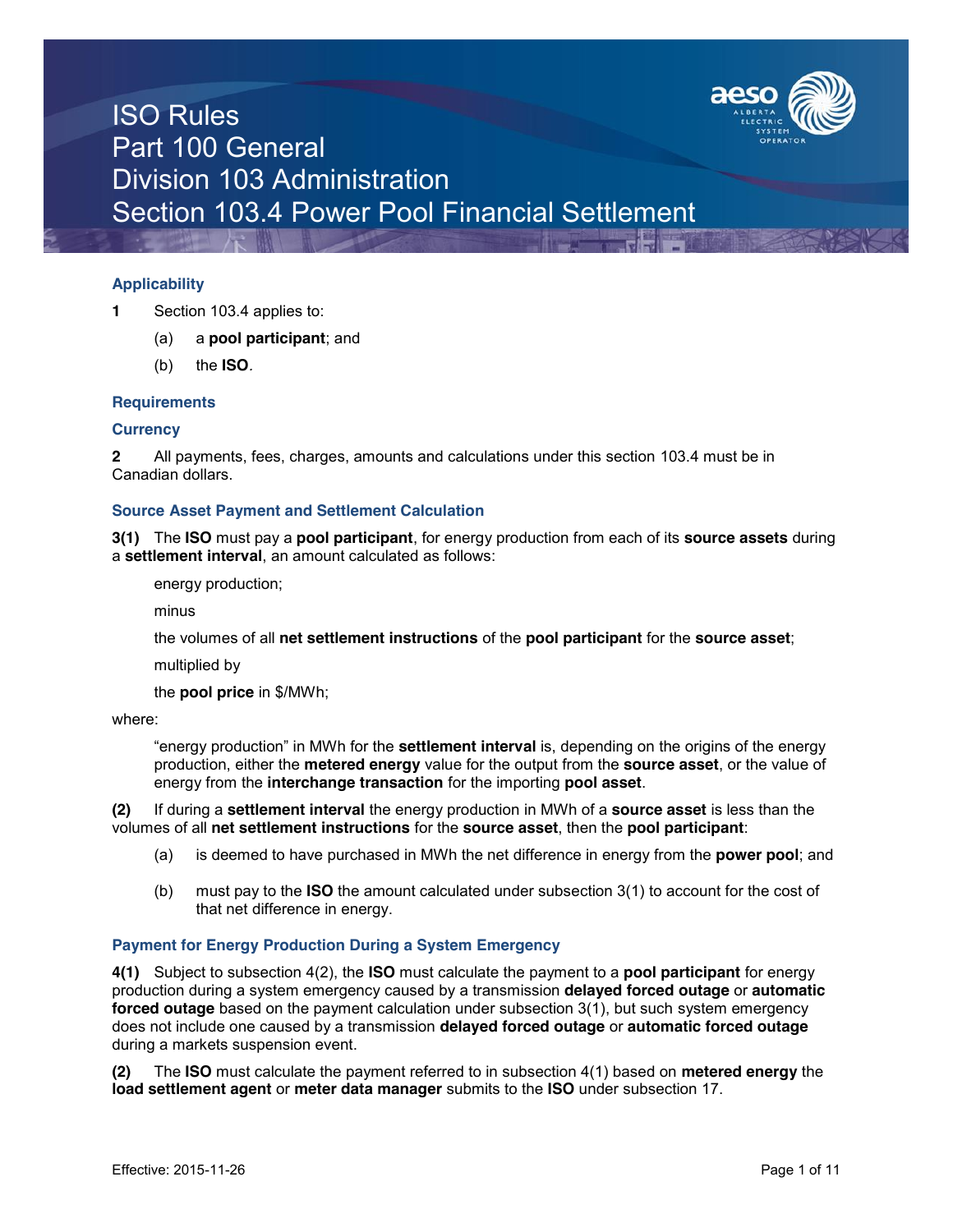

### **Applicability**

- **1** Section 103.4 applies to:
	- (a) a **pool participant**; and
	- (b) the **ISO***.*

#### **Requirements**

#### **Currency**

**2** All payments, fees, charges, amounts and calculations under this section 103.4 must be in Canadian dollars.

#### **Source Asset Payment and Settlement Calculation**

**3(1)** The **ISO** must pay a **pool participant**, for energy production from each of its **source assets** during a **settlement interval**, an amount calculated as follows:

energy production;

minus

the volumes of all **net settlement instructions** of the **pool participant** for the **source asset**;

multiplied by

the **pool price** in \$/MWh;

#### where:

"energy production" in MWh for the **settlement interval** is, depending on the origins of the energy production, either the **metered energy** value for the output from the **source asset**, or the value of energy from the **interchange transaction** for the importing **pool asset**.

**(2)** If during a **settlement interval** the energy production in MWh of a **source asset** is less than the volumes of all **net settlement instructions** for the **source asset**, then the **pool participant**:

- (a) is deemed to have purchased in MWh the net difference in energy from the **power pool**; and
- (b) must pay to the **ISO** the amount calculated under subsection 3(1) to account for the cost of that net difference in energy.

### **Payment for Energy Production During a System Emergency**

**4(1)** Subject to subsection 4(2), the **ISO** must calculate the payment to a **pool participant** for energy production during a system emergency caused by a transmission **delayed forced outage** or **automatic forced outage** based on the payment calculation under subsection 3(1), but such system emergency does not include one caused by a transmission **delayed forced outage** or **automatic forced outage**  during a markets suspension event.

**(2)** The **ISO** must calculate the payment referred to in subsection 4(1) based on **metered energy** the **load settlement agent** or **meter data manager** submits to the **ISO** under subsection 17.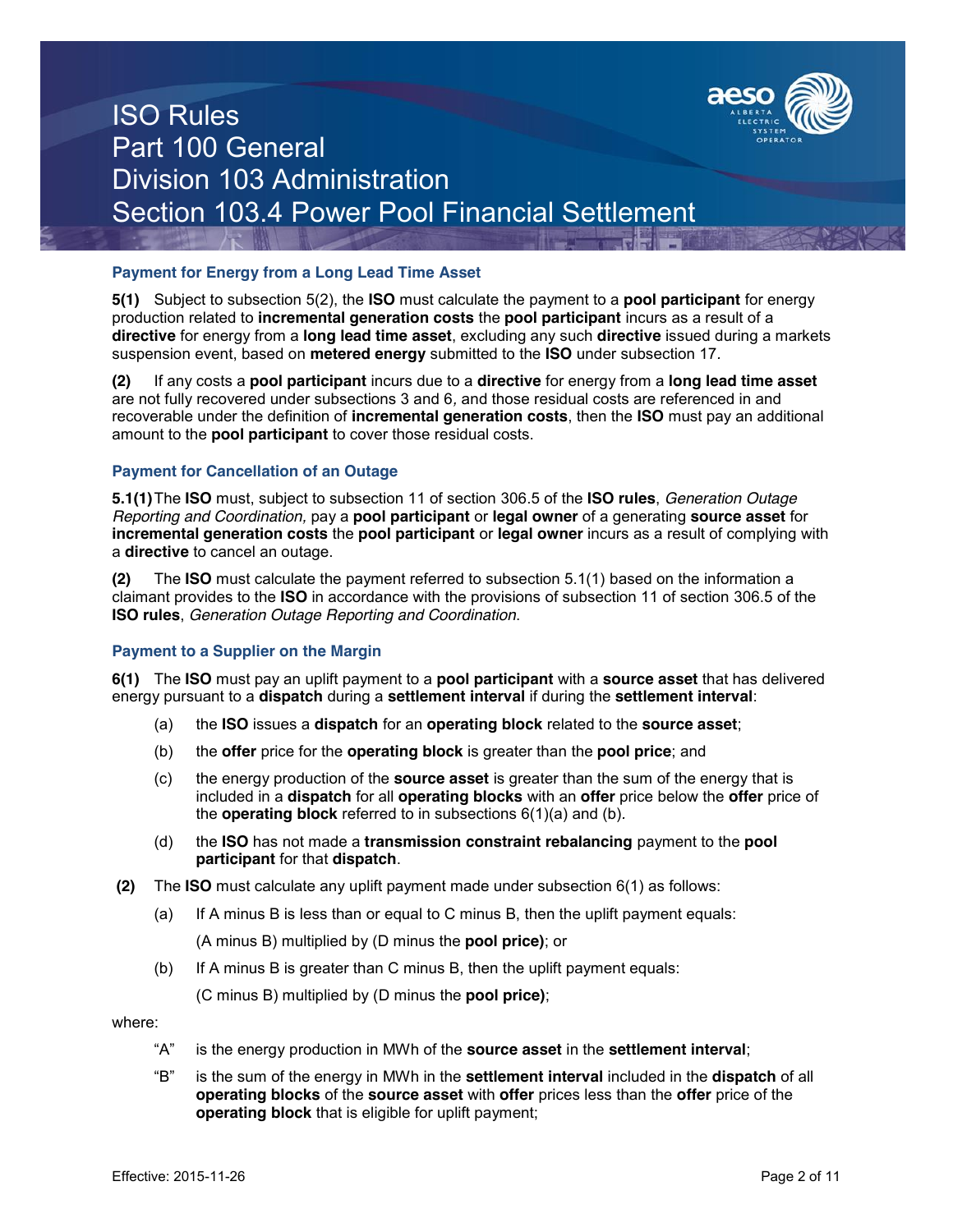

### **Payment for Energy from a Long Lead Time Asset**

**5(1)** Subject to subsection 5(2), the **ISO** must calculate the payment to a **pool participant** for energy production related to **incremental generation costs** the **pool participant** incurs as a result of a **directive** for energy from a **long lead time asset**, excluding any such **directive** issued during a markets suspension event, based on **metered energy** submitted to the **ISO** under subsection 17*.*

**(2)** If any costs a **pool participant** incurs due to a **directive** for energy from a **long lead time asset**  are not fully recovered under subsections 3 and 6*,* and those residual costs are referenced in and recoverable under the definition of **incremental generation costs**, then the **ISO** must pay an additional amount to the **pool participant** to cover those residual costs.

### **Payment for Cancellation of an Outage**

**5.1(1)**The **ISO** must, subject to subsection 11 of section 306.5 of the **ISO rules**, *Generation Outage Reporting and Coordination,* pay a **pool participant** or **legal owner** of a generating **source asset** for **incremental generation costs** the **pool participant** or **legal owner** incurs as a result of complying with a **directive** to cancel an outage.

**(2)** The **ISO** must calculate the payment referred to subsection 5.1(1) based on the information a claimant provides to the **ISO** in accordance with the provisions of subsection 11 of section 306.5 of the **ISO rules**, *Generation Outage Reporting and Coordination*.

### **Payment to a Supplier on the Margin**

**6(1)** The **ISO** must pay an uplift payment to a **pool participant** with a **source asset** that has delivered energy pursuant to a **dispatch** during a **settlement interval** if during the **settlement interval**:

- (a) the **ISO** issues a **dispatch** for an **operating block** related to the **source asset**;
- (b) the **offer** price for the **operating block** is greater than the **pool price**; and
- (c) the energy production of the **source asset** is greater than the sum of the energy that is included in a **dispatch** for all **operating blocks** with an **offer** price below the **offer** price of the **operating block** referred to in subsections 6(1)(a) and (b)*.*
- (d) the **ISO** has not made a **transmission constraint rebalancing** payment to the **pool participant** for that **dispatch**.
- **(2)** The **ISO** must calculate any uplift payment made under subsection 6(1) as follows:
	- (a) If A minus B is less than or equal to C minus B, then the uplift payment equals:

(A minus B) multiplied by (D minus the **pool price)**; or

(b) If A minus B is greater than C minus B, then the uplift payment equals:

(C minus B) multiplied by (D minus the **pool price)**;

where:

- "A" is the energy production in MWh of the **source asset** in the **settlement interval**;
- "B" is the sum of the energy in MWh in the **settlement interval** included in the **dispatch** of all **operating blocks** of the **source asset** with **offer** prices less than the **offer** price of the **operating block** that is eligible for uplift payment;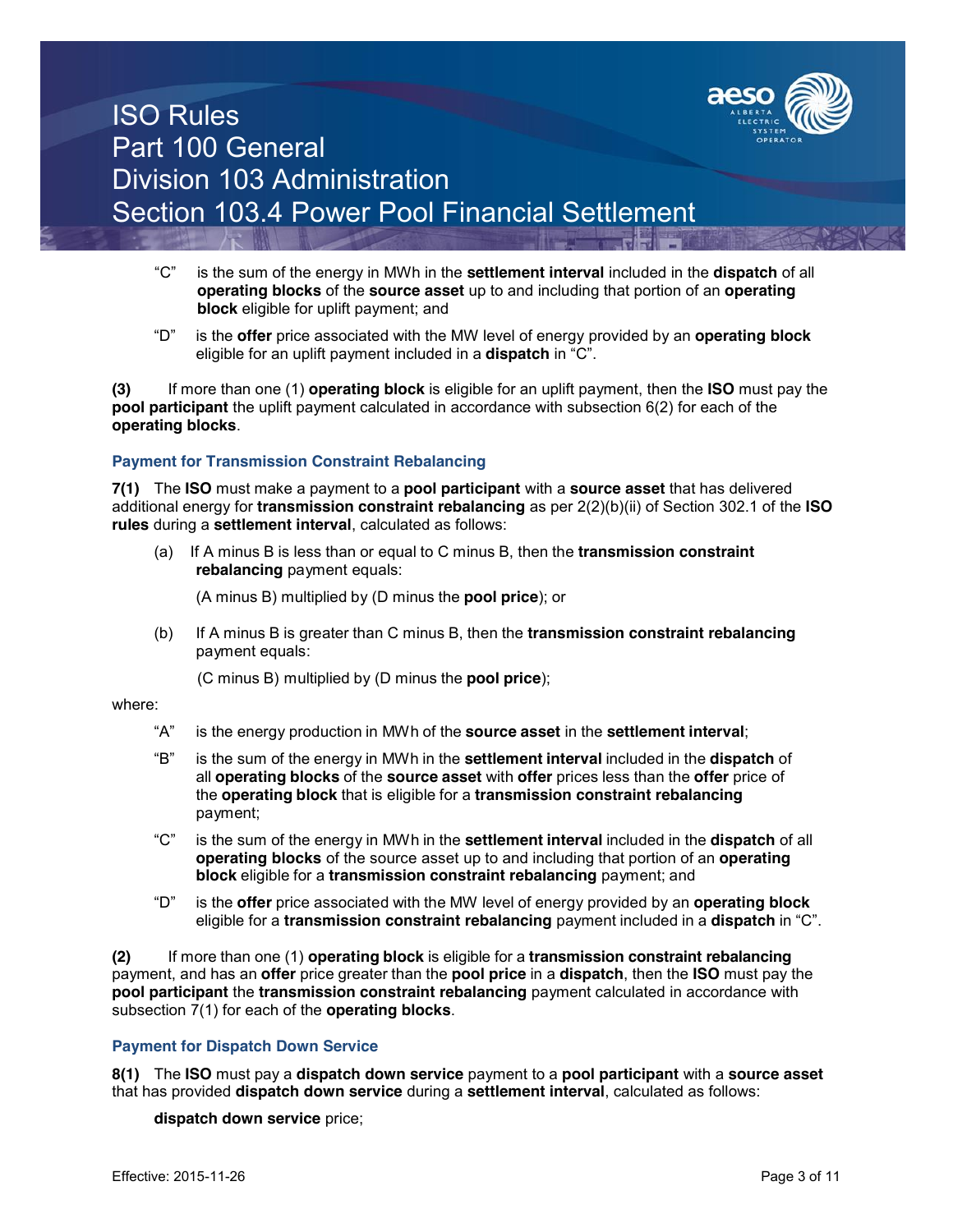

- "C" is the sum of the energy in MWh in the **settlement interval** included in the **dispatch** of all **operating blocks** of the **source asset** up to and including that portion of an **operating block** eligible for uplift payment; and
- "D" is the **offer** price associated with the MW level of energy provided by an **operating block** eligible for an uplift payment included in a **dispatch** in "C".

**(3)** If more than one (1) **operating block** is eligible for an uplift payment, then the **ISO** must pay the **pool participant** the uplift payment calculated in accordance with subsection 6(2) for each of the **operating blocks**.

### **Payment for Transmission Constraint Rebalancing**

**7(1)** The **ISO** must make a payment to a **pool participant** with a **source asset** that has delivered additional energy for **transmission constraint rebalancing** as per 2(2)(b)(ii) of Section 302.1 of the **ISO rules** during a **settlement interval**, calculated as follows:

(a) If A minus B is less than or equal to C minus B, then the **transmission constraint rebalancing** payment equals:

(A minus B) multiplied by (D minus the **pool price**); or

(b) If A minus B is greater than C minus B, then the **transmission constraint rebalancing** payment equals:

(C minus B) multiplied by (D minus the **pool price**);

#### where:

- "A" is the energy production in MWh of the **source asset** in the **settlement interval**;
- "B" is the sum of the energy in MWh in the **settlement interval** included in the **dispatch** of all **operating blocks** of the **source asset** with **offer** prices less than the **offer** price of the **operating block** that is eligible for a **transmission constraint rebalancing** payment;
- "C" is the sum of the energy in MWh in the **settlement interval** included in the **dispatch** of all **operating blocks** of the source asset up to and including that portion of an **operating block** eligible for a **transmission constraint rebalancing** payment; and
- "D" is the **offer** price associated with the MW level of energy provided by an **operating block**  eligible for a **transmission constraint rebalancing** payment included in a **dispatch** in "C".

**(2)** If more than one (1) **operating block** is eligible for a **transmission constraint rebalancing**  payment, and has an **offer** price greater than the **pool price** in a **dispatch**, then the **ISO** must pay the **pool participant** the **transmission constraint rebalancing** payment calculated in accordance with subsection 7(1) for each of the **operating blocks**.

### **Payment for Dispatch Down Service**

**8(1)** The **ISO** must pay a **dispatch down service** payment to a **pool participant** with a **source asset** that has provided **dispatch down service** during a **settlement interval**, calculated as follows:

**dispatch down service** price;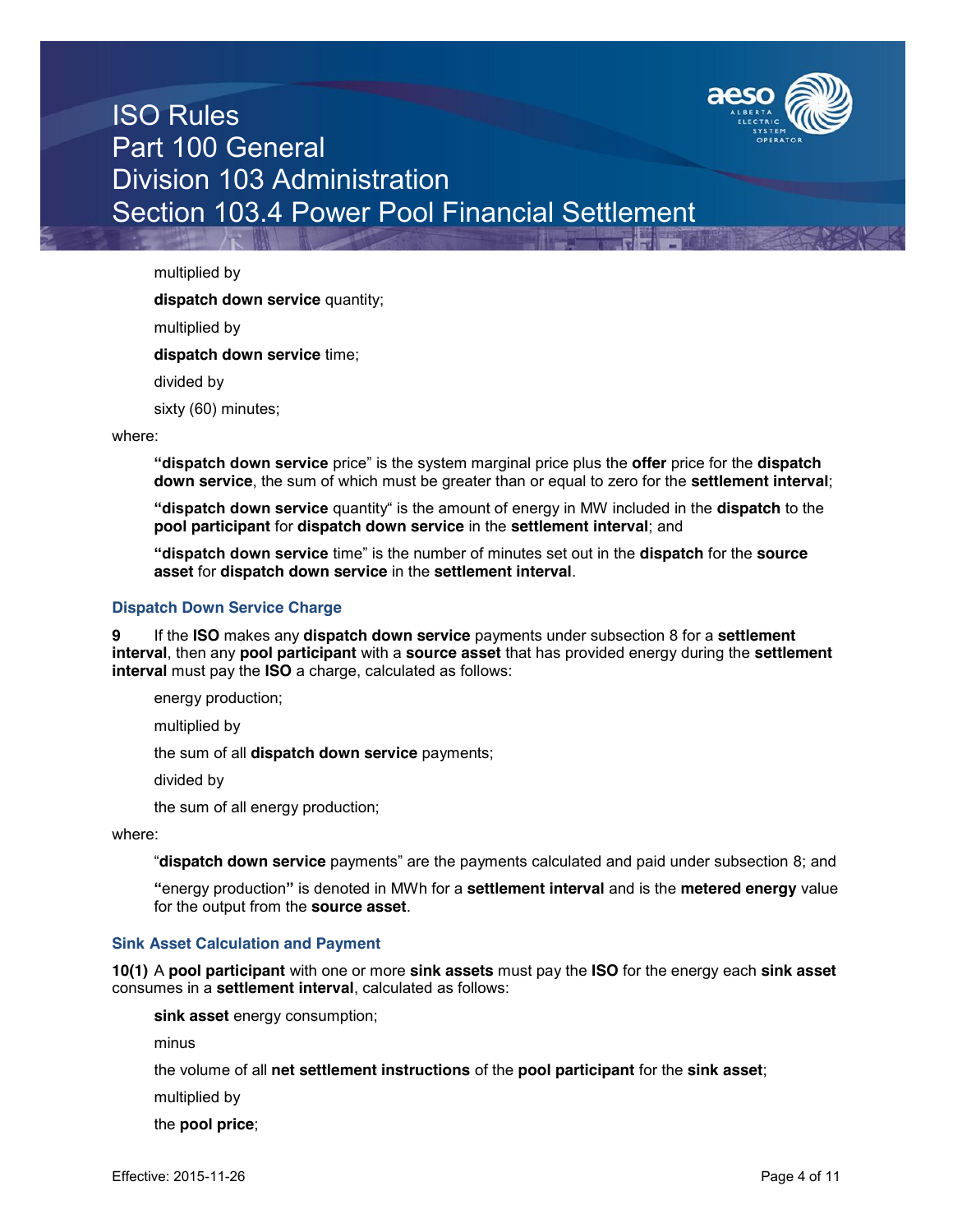

multiplied by

**dispatch down service** quantity;

multiplied by

**dispatch down service** time;

divided by

sixty (60) minutes;

#### where:

**"dispatch down service** price" is the system marginal price plus the **offer** price for the **dispatch down service**, the sum of which must be greater than or equal to zero for the **settlement interval**;

**"dispatch down service** quantity" is the amount of energy in MW included in the **dispatch** to the **pool participant** for **dispatch down service** in the **settlement interval**; and

**"dispatch down service** time" is the number of minutes set out in the **dispatch** for the **source asset** for **dispatch down service** in the **settlement interval**.

### **Dispatch Down Service Charge**

**9** If the **ISO** makes any **dispatch down service** payments under subsection 8 for a **settlement interval**, then any **pool participant** with a **source asset** that has provided energy during the **settlement interval** must pay the **ISO** a charge, calculated as follows:

energy production;

multiplied by

the sum of all **dispatch down service** payments;

divided by

the sum of all energy production;

where:

"**dispatch down service** payments" are the payments calculated and paid under subsection 8; and

**"**energy production**"** is denoted in MWh for a **settlement interval** and is the **metered energy** value for the output from the **source asset**.

#### **Sink Asset Calculation and Payment**

**10(1)** A **pool participant** with one or more **sink assets** must pay the **ISO** for the energy each **sink asset** consumes in a **settlement interval**, calculated as follows:

**sink asset** energy consumption;

minus

the volume of all **net settlement instructions** of the **pool participant** for the **sink asset**;

multiplied by

the **pool price**;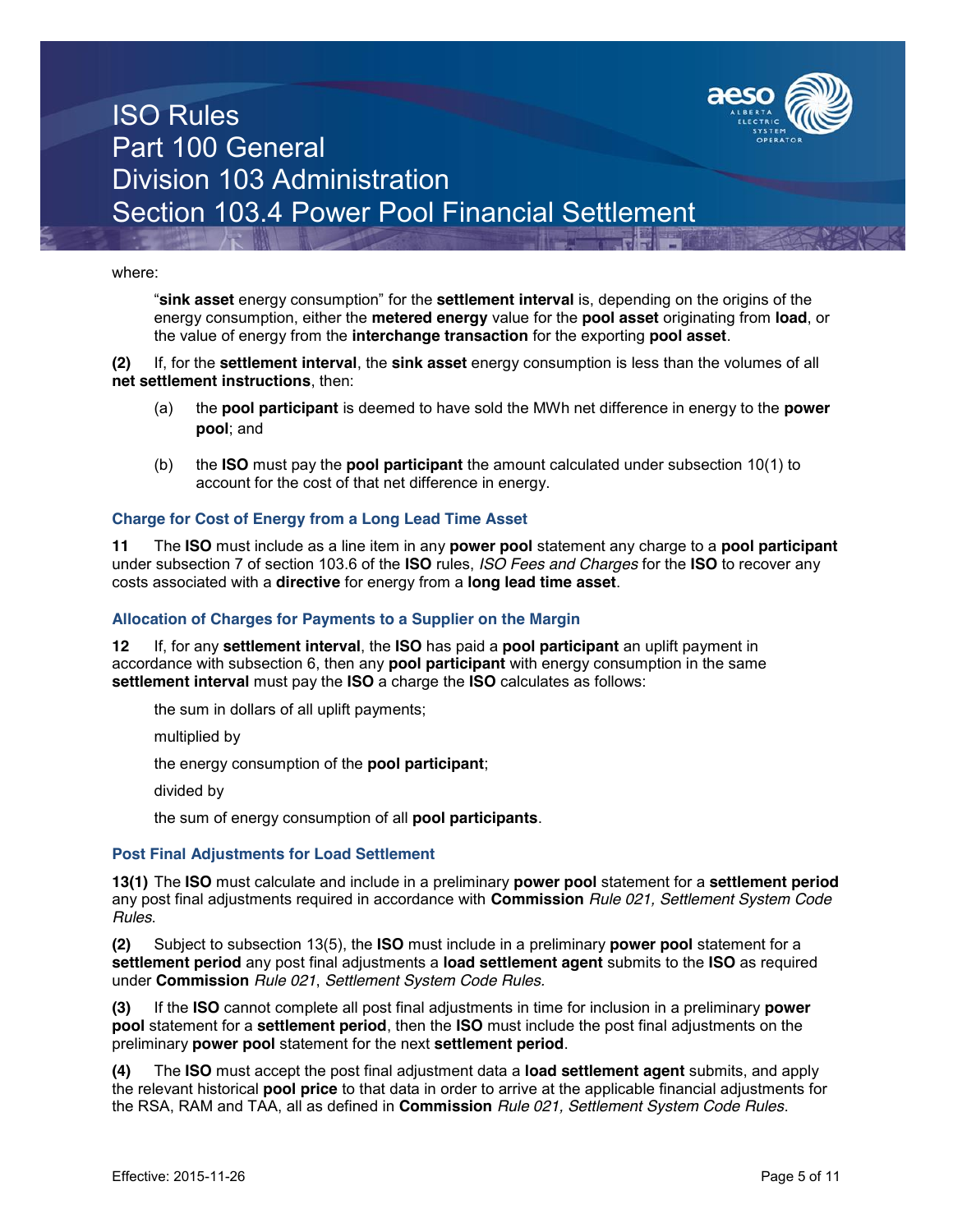

where:

"**sink asset** energy consumption" for the **settlement interval** is, depending on the origins of the energy consumption, either the **metered energy** value for the **pool asset** originating from **load**, or the value of energy from the **interchange transaction** for the exporting **pool asset**.

**(2)** If, for the **settlement interval**, the **sink asset** energy consumption is less than the volumes of all **net settlement instructions**, then:

- (a) the **pool participant** is deemed to have sold the MWh net difference in energy to the **power pool**; and
- (b) the **ISO** must pay the **pool participant** the amount calculated under subsection 10(1) to account for the cost of that net difference in energy.

#### **Charge for Cost of Energy from a Long Lead Time Asset**

**11** The **ISO** must include as a line item in any **power pool** statement any charge to a **pool participant**  under subsection 7 of section 103.6 of the **ISO** rules, *ISO Fees and Charges* for the **ISO** to recover any costs associated with a **directive** for energy from a **long lead time asset**.

#### **Allocation of Charges for Payments to a Supplier on the Margin**

**12** If, for any **settlement interval**, the **ISO** has paid a **pool participant** an uplift payment in accordance with subsection 6, then any **pool participant** with energy consumption in the same **settlement interval** must pay the **ISO** a charge the **ISO** calculates as follows:

the sum in dollars of all uplift payments;

multiplied by

the energy consumption of the **pool participant**;

divided by

the sum of energy consumption of all **pool participants**.

#### **Post Final Adjustments for Load Settlement**

**13(1)** The **ISO** must calculate and include in a preliminary **power pool** statement for a **settlement period** any post final adjustments required in accordance with **Commission** *Rule 021, Settlement System Code Rules*.

**(2)** Subject to subsection 13(5), the **ISO** must include in a preliminary **power pool** statement for a **settlement period** any post final adjustments a **load settlement agent** submits to the **ISO** as required under **Commission** *Rule 021*, *Settlement System Code Rules.*

**(3)** If the **ISO** cannot complete all post final adjustments in time for inclusion in a preliminary **power pool** statement for a **settlement period**, then the **ISO** must include the post final adjustments on the preliminary **power pool** statement for the next **settlement period**.

**(4)** The **ISO** must accept the post final adjustment data a **load settlement agent** submits, and apply the relevant historical **pool price** to that data in order to arrive at the applicable financial adjustments for the RSA, RAM and TAA, all as defined in **Commission** *Rule 021, Settlement System Code Rules*.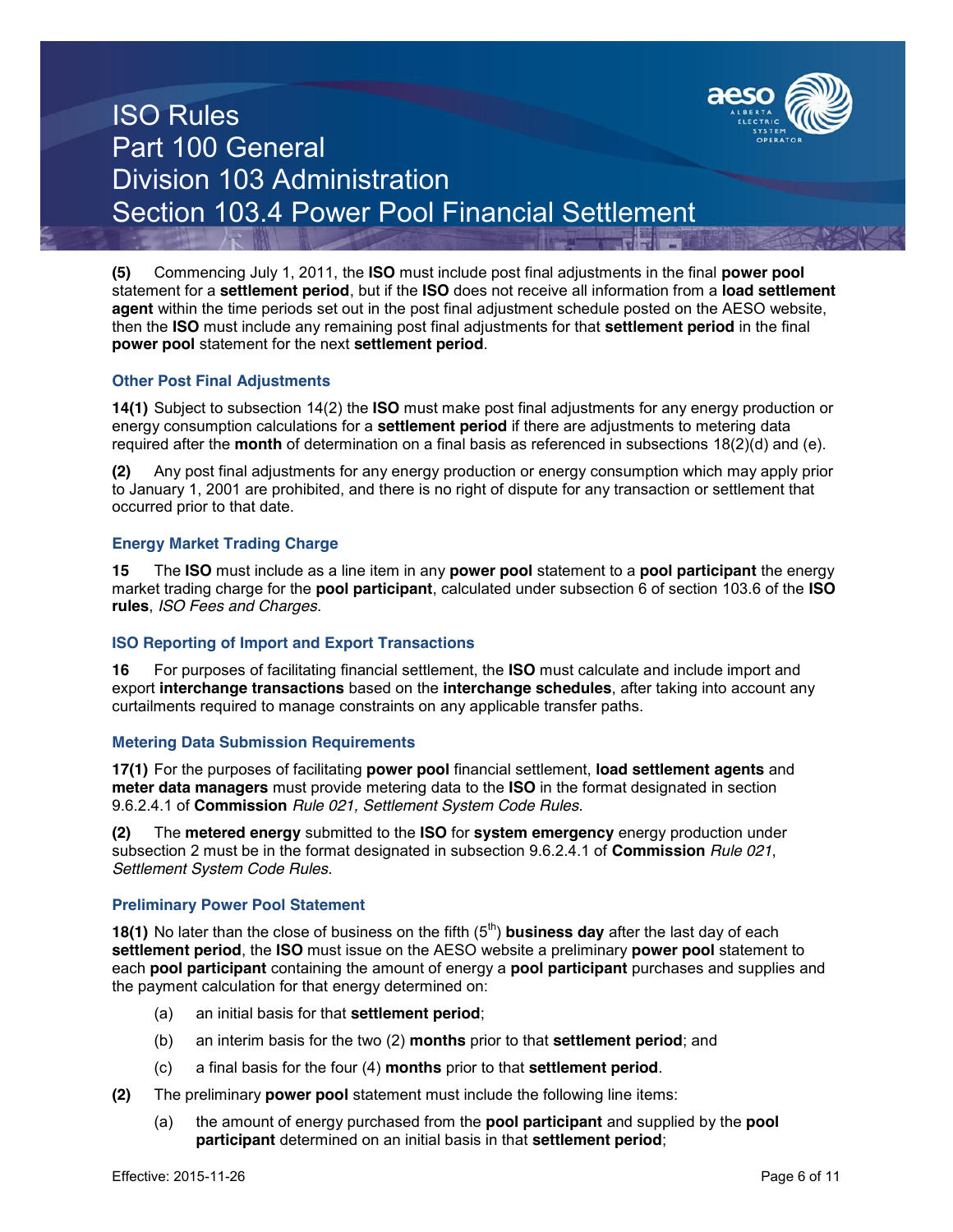

**(5)** Commencing July 1, 2011, the **ISO** must include post final adjustments in the final **power pool**  statement for a **settlement period**, but if the **ISO** does not receive all information from a **load settlement agent** within the time periods set out in the post final adjustment schedule posted on the AESO website, then the **ISO** must include any remaining post final adjustments for that **settlement period** in the final **power pool** statement for the next **settlement period**.

### **Other Post Final Adjustments**

**14(1)** Subject to subsection 14(2) the **ISO** must make post final adjustments for any energy production or energy consumption calculations for a **settlement period** if there are adjustments to metering data required after the **month** of determination on a final basis as referenced in subsections 18(2)(d) and (e).

**(2)** Any post final adjustments for any energy production or energy consumption which may apply prior to January 1, 2001 are prohibited, and there is no right of dispute for any transaction or settlement that occurred prior to that date.

### **Energy Market Trading Charge**

**15** The **ISO** must include as a line item in any **power pool** statement to a **pool participant** the energy market trading charge for the **pool participant**, calculated under subsection 6 of section 103.6 of the **ISO rules**, *ISO Fees and Charges*.

### **ISO Reporting of Import and Export Transactions**

**16** For purposes of facilitating financial settlement, the **ISO** must calculate and include import and export **interchange transactions** based on the **interchange schedules**, after taking into account any curtailments required to manage constraints on any applicable transfer paths.

### **Metering Data Submission Requirements**

**17(1)** For the purposes of facilitating **power pool** financial settlement, **load settlement agents** and **meter data managers** must provide metering data to the **ISO** in the format designated in section 9.6.2.4.1 of **Commission** *Rule 021, Settlement System Code Rules.*

**(2)** The **metered energy** submitted to the **ISO** for **system emergency** energy production under subsection 2 must be in the format designated in subsection 9.6.2.4.1 of **Commission** *Rule 021*, *Settlement System Code Rules*.

### **Preliminary Power Pool Statement**

**18(1)** No later than the close of business on the fifth (5<sup>th</sup>) **business day** after the last day of each **settlement period**, the **ISO** must issue on the AESO website a preliminary **power pool** statement to each **pool participant** containing the amount of energy a **pool participant** purchases and supplies and the payment calculation for that energy determined on:

- (a) an initial basis for that **settlement period**;
- (b) an interim basis for the two (2) **months** prior to that **settlement period**; and
- (c) a final basis for the four (4) **months** prior to that **settlement period**.
- **(2)** The preliminary **power pool** statement must include the following line items:
	- (a) the amount of energy purchased from the **pool participant** and supplied by the **pool participant** determined on an initial basis in that **settlement period**;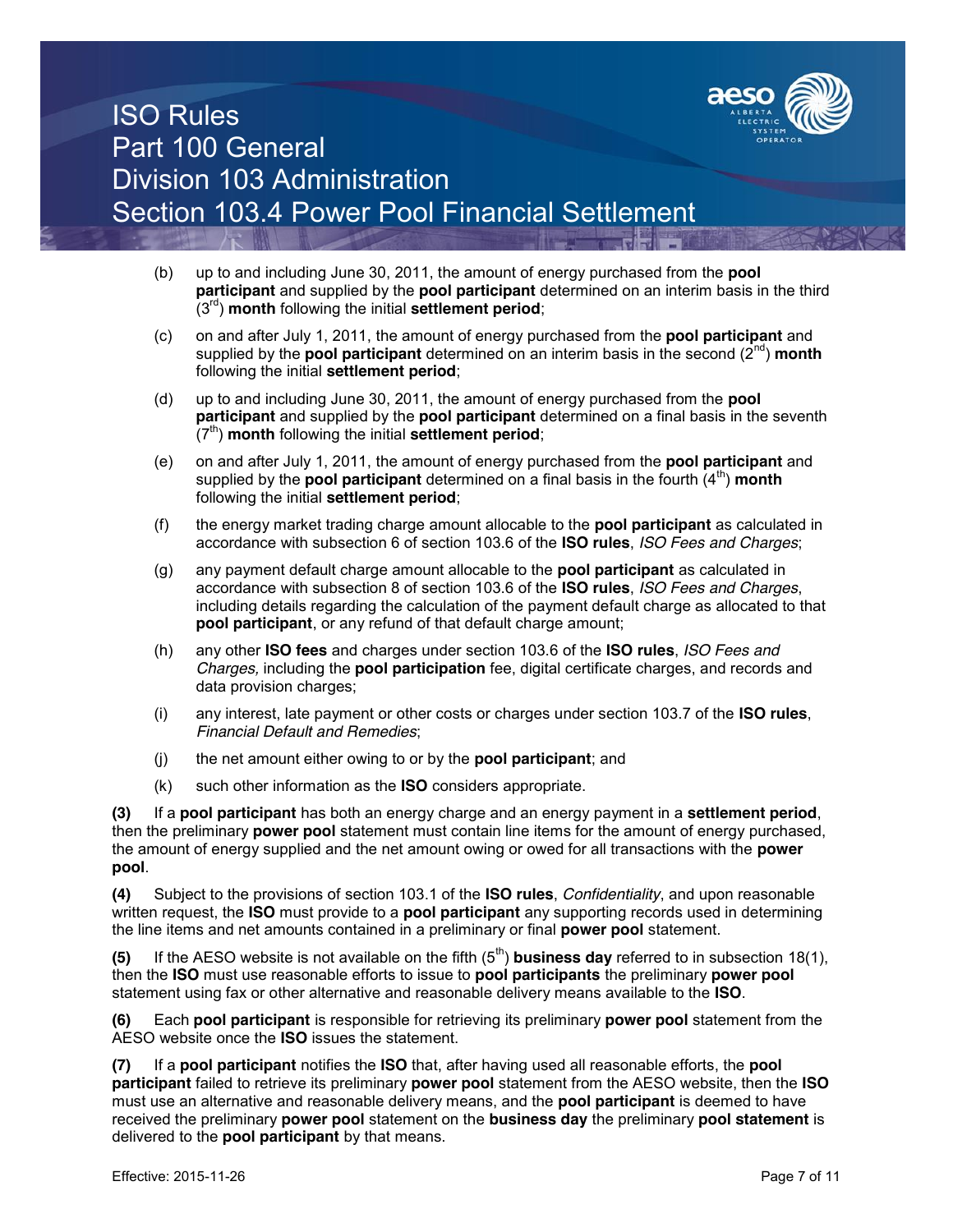

- (b) up to and including June 30, 2011, the amount of energy purchased from the **pool participant** and supplied by the **pool participant** determined on an interim basis in the third (3rd) **month** following the initial **settlement period**;
- (c) on and after July 1, 2011, the amount of energy purchased from the **pool participant** and supplied by the **pool participant** determined on an interim basis in the second (2<sup>nd</sup>) **month** following the initial **settlement period**;
- (d) up to and including June 30, 2011, the amount of energy purchased from the **pool participant** and supplied by the **pool participant** determined on a final basis in the seventh (7<sup>th</sup>) **month** following the initial **settlement period**;
- (e) on and after July 1, 2011, the amount of energy purchased from the **pool participant** and supplied by the **pool participant** determined on a final basis in the fourth  $(4^{th})$  month following the initial **settlement period**;
- (f) the energy market trading charge amount allocable to the **pool participant** as calculated in accordance with subsection 6 of section 103.6 of the **ISO rules**, *ISO Fees and Charges*;
- (g) any payment default charge amount allocable to the **pool participant** as calculated in accordance with subsection 8 of section 103.6 of the **ISO rules**, *ISO Fees and Charges*, including details regarding the calculation of the payment default charge as allocated to that **pool participant**, or any refund of that default charge amount;
- (h) any other **ISO fees** and charges under section 103.6 of the **ISO rules**, *ISO Fees and Charges,* including the **pool participation** fee, digital certificate charges, and records and data provision charges;
- (i) any interest, late payment or other costs or charges under section 103.7 of the **ISO rules**, *Financial Default and Remedies*;
- (j) the net amount either owing to or by the **pool participant**; and
- (k) such other information as the **ISO** considers appropriate.

**(3)** If a **pool participant** has both an energy charge and an energy payment in a **settlement period**, then the preliminary **power pool** statement must contain line items for the amount of energy purchased, the amount of energy supplied and the net amount owing or owed for all transactions with the **power pool**.

**(4)** Subject to the provisions of section 103.1 of the **ISO rules**, *Confidentiality*, and upon reasonable written request, the **ISO** must provide to a **pool participant** any supporting records used in determining the line items and net amounts contained in a preliminary or final **power pool** statement.

**(5)** If the AESO website is not available on the fifth  $(5<sup>th</sup>)$  **business day** referred to in subsection 18(1), then the **ISO** must use reasonable efforts to issue to **pool participants** the preliminary **power pool**  statement using fax or other alternative and reasonable delivery means available to the **ISO**.

**(6)** Each **pool participant** is responsible for retrieving its preliminary **power pool** statement from the AESO website once the **ISO** issues the statement.

**(7)** If a **pool participant** notifies the **ISO** that, after having used all reasonable efforts, the **pool participant** failed to retrieve its preliminary **power pool** statement from the AESO website, then the **ISO** must use an alternative and reasonable delivery means, and the **pool participant** is deemed to have received the preliminary **power pool** statement on the **business day** the preliminary **pool statement** is delivered to the **pool participant** by that means.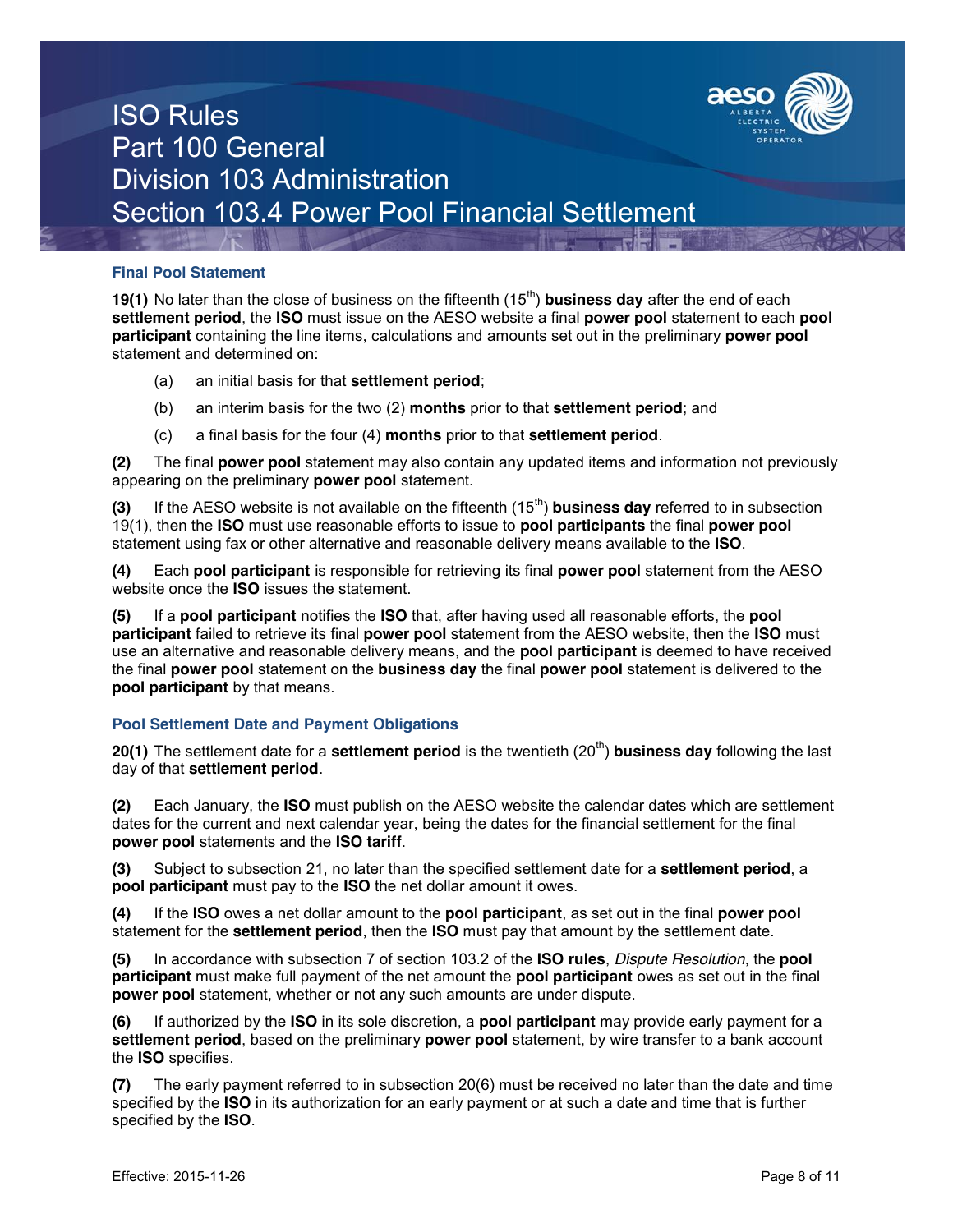

### **Final Pool Statement**

**19(1)** No later than the close of business on the fifteenth (15<sup>th</sup>) **business day** after the end of each **settlement period**, the **ISO** must issue on the AESO website a final **power pool** statement to each **pool participant** containing the line items, calculations and amounts set out in the preliminary **power pool** statement and determined on:

- (a) an initial basis for that **settlement period**;
- (b) an interim basis for the two (2) **months** prior to that **settlement period**; and
- (c) a final basis for the four (4) **months** prior to that **settlement period**.

**(2)** The final **power pool** statement may also contain any updated items and information not previously appearing on the preliminary **power pool** statement.

**(3)** If the AESO website is not available on the fifteenth (15<sup>th</sup>) **business day** referred to in subsection 19(1), then the **ISO** must use reasonable efforts to issue to **pool participants** the final **power pool**  statement using fax or other alternative and reasonable delivery means available to the **ISO**.

**(4)** Each **pool participant** is responsible for retrieving its final **power pool** statement from the AESO website once the **ISO** issues the statement.

**(5)** If a **pool participant** notifies the **ISO** that, after having used all reasonable efforts, the **pool participant** failed to retrieve its final **power pool** statement from the AESO website, then the **ISO** must use an alternative and reasonable delivery means, and the **pool participant** is deemed to have received the final **power pool** statement on the **business day** the final **power pool** statement is delivered to the **pool participant** by that means.

## **Pool Settlement Date and Payment Obligations**

**20(1)** The settlement date for a **settlement period** is the twentieth (20<sup>th</sup>) **business day** following the last day of that **settlement period**.

**(2)** Each January, the **ISO** must publish on the AESO website the calendar dates which are settlement dates for the current and next calendar year, being the dates for the financial settlement for the final **power pool** statements and the **ISO tariff**.

**(3)** Subject to subsection 21, no later than the specified settlement date for a **settlement period**, a **pool participant** must pay to the **ISO** the net dollar amount it owes.

**(4)** If the **ISO** owes a net dollar amount to the **pool participant**, as set out in the final **power pool**  statement for the **settlement period**, then the **ISO** must pay that amount by the settlement date.

**(5)** In accordance with subsection 7 of section 103.2 of the **ISO rules**, *Dispute Resolution*, the **pool participant** must make full payment of the net amount the **pool participant** owes as set out in the final **power pool** statement, whether or not any such amounts are under dispute.

**(6)** If authorized by the **ISO** in its sole discretion, a **pool participant** may provide early payment for a **settlement period**, based on the preliminary **power pool** statement, by wire transfer to a bank account the **ISO** specifies.

**(7)** The early payment referred to in subsection 20(6) must be received no later than the date and time specified by the **ISO** in its authorization for an early payment or at such a date and time that is further specified by the **ISO**.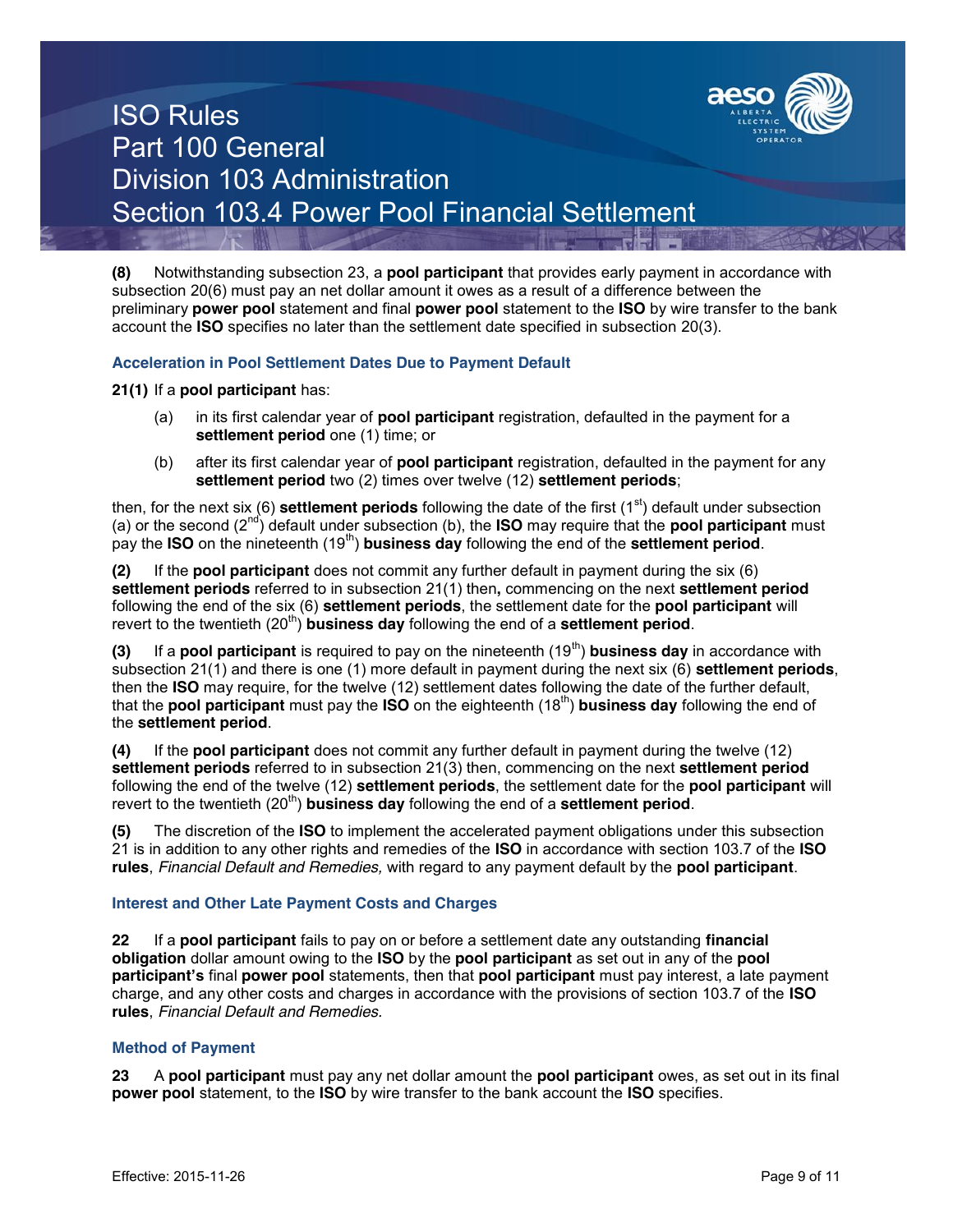

**(8)** Notwithstanding subsection 23, a **pool participant** that provides early payment in accordance with subsection 20(6) must pay an net dollar amount it owes as a result of a difference between the preliminary **power pool** statement and final **power pool** statement to the **ISO** by wire transfer to the bank account the **ISO** specifies no later than the settlement date specified in subsection 20(3).

### **Acceleration in Pool Settlement Dates Due to Payment Default**

**21(1)** If a **pool participant** has:

- (a) in its first calendar year of **pool participant** registration, defaulted in the payment for a settlement period one (1) time; or
- (b) after its first calendar year of **pool participant** registration, defaulted in the payment for any **settlement period** two (2) times over twelve (12) **settlement periods**;

then, for the next six (6) **settlement periods** following the date of the first (1<sup>st</sup>) default under subsection (a) or the second (2nd) default under subsection (b), the **ISO** may require that the **pool participant** must pay the **ISO** on the nineteenth (19<sup>th</sup>) **business day** following the end of the **settlement period**.

**(2)** If the **pool participant** does not commit any further default in payment during the six (6) **settlement periods** referred to in subsection 21(1) then**,** commencing on the next **settlement period** following the end of the six (6) **settlement periods**, the settlement date for the **pool participant** will revert to the twentieth (20<sup>th</sup>) **business day** following the end of a **settlement period**.

**(3)** If a **pool participant** is required to pay on the nineteenth (19<sup>th</sup>) **business day** in accordance with subsection 21(1) and there is one (1) more default in payment during the next six (6) **settlement periods**, then the **ISO** may require, for the twelve (12) settlement dates following the date of the further default, that the **pool participant** must pay the **ISO** on the eighteenth (18th) **business day** following the end of the **settlement period**.

**(4)** If the **pool participant** does not commit any further default in payment during the twelve (12) **settlement periods** referred to in subsection 21(3) then, commencing on the next **settlement period** following the end of the twelve (12) **settlement periods**, the settlement date for the **pool participant** will revert to the twentieth (20<sup>th</sup>) **business day** following the end of a **settlement period**.

**(5)** The discretion of the **ISO** to implement the accelerated payment obligations under this subsection 21 is in addition to any other rights and remedies of the **ISO** in accordance with section 103.7 of the **ISO rules**, *Financial Default and Remedies,* with regard to any payment default by the **pool participant**.

### **Interest and Other Late Payment Costs and Charges**

**22** If a **pool participant** fails to pay on or before a settlement date any outstanding **financial obligation** dollar amount owing to the **ISO** by the **pool participant** as set out in any of the **pool participant's** final **power pool** statements, then that **pool participant** must pay interest, a late payment charge, and any other costs and charges in accordance with the provisions of section 103.7 of the **ISO rules**, *Financial Default and Remedies.*

### **Method of Payment**

**23** A **pool participant** must pay any net dollar amount the **pool participant** owes, as set out in its final **power pool** statement, to the **ISO** by wire transfer to the bank account the **ISO** specifies.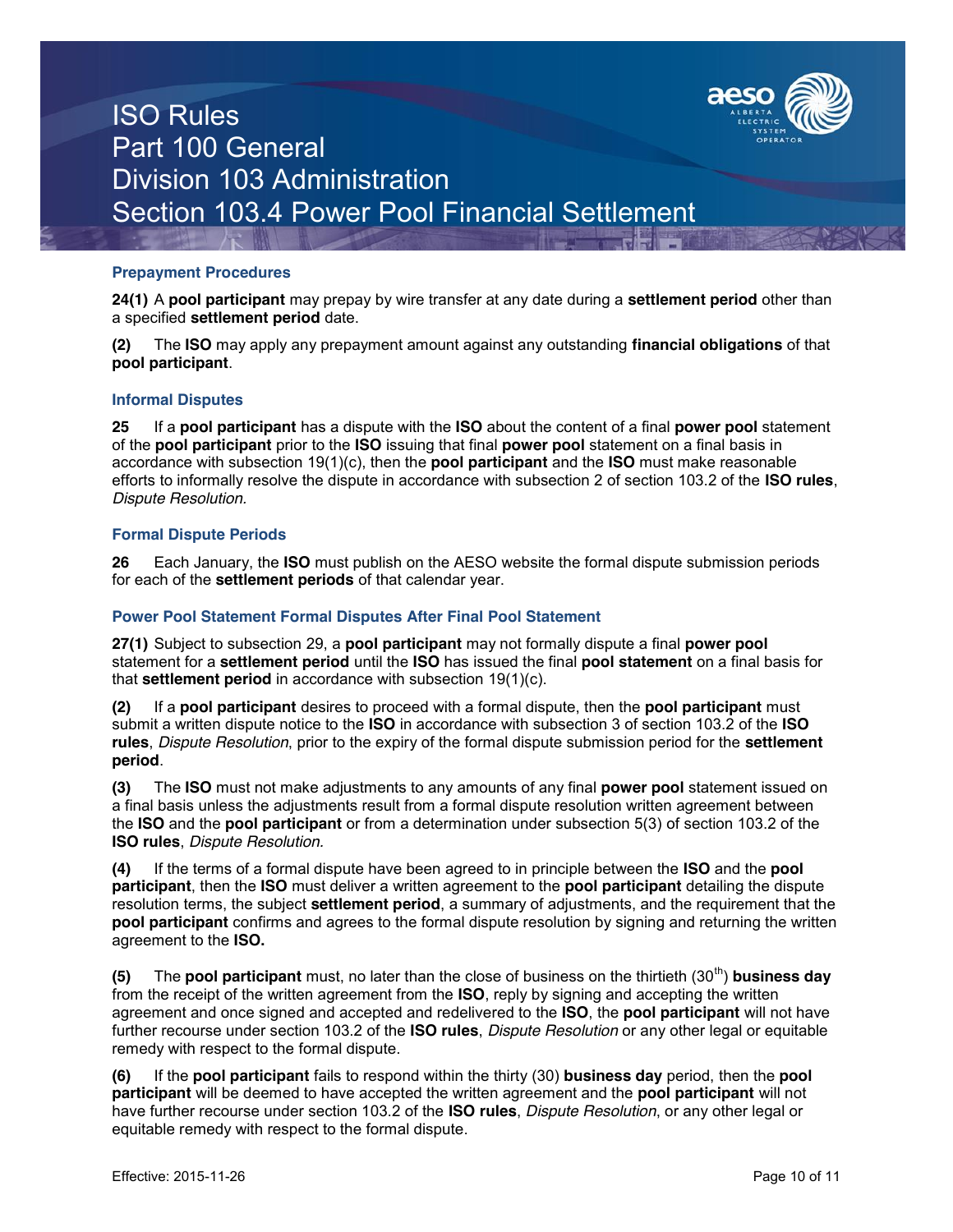

### **Prepayment Procedures**

**24(1)** A **pool participant** may prepay by wire transfer at any date during a **settlement period** other than a specified **settlement period** date.

**(2)** The **ISO** may apply any prepayment amount against any outstanding **financial obligations** of that **pool participant**.

### **Informal Disputes**

**25** If a **pool participant** has a dispute with the **ISO** about the content of a final **power pool** statement of the **pool participant** prior to the **ISO** issuing that final **power pool** statement on a final basis in accordance with subsection 19(1)(c), then the **pool participant** and the **ISO** must make reasonable efforts to informally resolve the dispute in accordance with subsection 2 of section 103.2 of the **ISO rules**, *Dispute Resolution.*

### **Formal Dispute Periods**

**26** Each January, the **ISO** must publish on the AESO website the formal dispute submission periods for each of the **settlement periods** of that calendar year.

### **Power Pool Statement Formal Disputes After Final Pool Statement**

**27(1)** Subject to subsection 29, a **pool participant** may not formally dispute a final **power pool** statement for a **settlement period** until the **ISO** has issued the final **pool statement** on a final basis for that **settlement period** in accordance with subsection 19(1)(c).

**(2)** If a **pool participant** desires to proceed with a formal dispute, then the **pool participant** must submit a written dispute notice to the **ISO** in accordance with subsection 3 of section 103.2 of the **ISO rules**, *Dispute Resolution*, prior to the expiry of the formal dispute submission period for the **settlement period**.

**(3)** The **ISO** must not make adjustments to any amounts of any final **power pool** statement issued on a final basis unless the adjustments result from a formal dispute resolution written agreement between the **ISO** and the **pool participant** or from a determination under subsection 5(3) of section 103.2 of the **ISO rules**, *Dispute Resolution.*

**(4)** If the terms of a formal dispute have been agreed to in principle between the **ISO** and the **pool participant**, then the **ISO** must deliver a written agreement to the **pool participant** detailing the dispute resolution terms, the subject **settlement period**, a summary of adjustments, and the requirement that the **pool participant** confirms and agrees to the formal dispute resolution by signing and returning the written agreement to the **ISO.**

**(5)** The **pool participant** must, no later than the close of business on the thirtieth (30<sup>th</sup>) **business day** from the receipt of the written agreement from the **ISO**, reply by signing and accepting the written agreement and once signed and accepted and redelivered to the **ISO**, the **pool participant** will not have further recourse under section 103.2 of the **ISO rules**, *Dispute Resolution* or any other legal or equitable remedy with respect to the formal dispute.

**(6)** If the **pool participant** fails to respond within the thirty (30) **business day** period, then the **pool participant** will be deemed to have accepted the written agreement and the **pool participant** will not have further recourse under section 103.2 of the **ISO rules**, *Dispute Resolution*, or any other legal or equitable remedy with respect to the formal dispute.